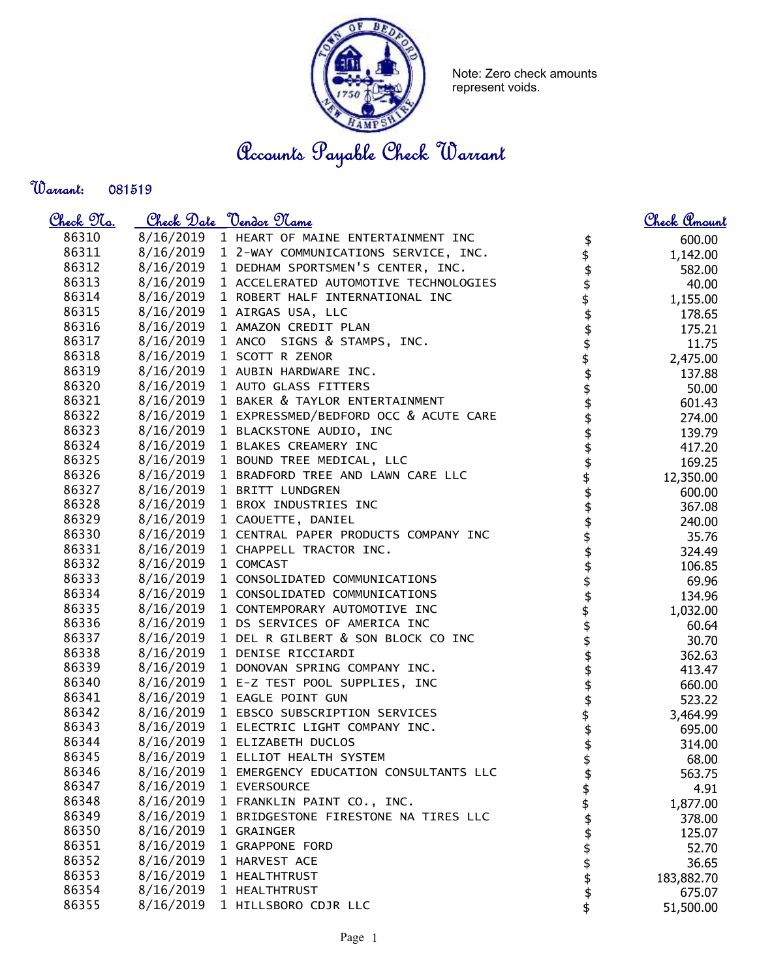

Note: Zero check amounts represent voids.

Accounts Payable Check Warrant

Warrant: 

| <u>Check 97a.</u> |                     | <u>Check Date "Vendor Mame</u>                  |               | <u>Check Amount</u> |
|-------------------|---------------------|-------------------------------------------------|---------------|---------------------|
| 86310             |                     | 8/16/2019 1 HEART OF MAINE ENTERTAINMENT INC    | \$            | 600.00              |
| 86311             |                     | 8/16/2019 1 2-WAY COMMUNICATIONS SERVICE, INC.  |               | 1,142.00            |
| 86312             |                     | 8/16/2019 1 DEDHAM SPORTSMEN'S CENTER, INC.     | \$\$\$\$      | 582.00              |
| 86313             |                     | 8/16/2019 1 ACCELERATED AUTOMOTIVE TECHNOLOGIES |               | 40.00               |
| 86314             |                     | 8/16/2019 1 ROBERT HALF INTERNATIONAL INC       |               | 1,155.00            |
| 86315             |                     | 8/16/2019 1 AIRGAS USA, LLC                     |               | 178.65              |
| 86316             |                     | 8/16/2019 1 AMAZON CREDIT PLAN                  |               | 175.21              |
| 86317             |                     | 8/16/2019 1 ANCO SIGNS & STAMPS, INC.           | -<br>\$<br>\$ | 11.75               |
| 86318             |                     | 8/16/2019 1 SCOTT R ZENOR                       |               | 2,475.00            |
| 86319             |                     | 8/16/2019 1 AUBIN HARDWARE INC.                 | \$<br>\$      | 137.88              |
| 86320             |                     | 8/16/2019 1 AUTO GLASS FITTERS                  |               | 50.00               |
| 86321             |                     | 8/16/2019 1 BAKER & TAYLOR ENTERTAINMENT        | \$\$\$        | 601.43              |
| 86322             |                     | 8/16/2019 1 EXPRESSMED/BEDFORD OCC & ACUTE CARE |               | 274.00              |
| 86323             |                     | 8/16/2019 1 BLACKSTONE AUDIO, INC               | .<br>\$       | 139.79              |
| 86324             |                     | 8/16/2019 1 BLAKES CREAMERY INC                 |               | 417.20              |
| 86325             |                     | 8/16/2019 1 BOUND TREE MEDICAL, LLC             | \$<br>\$      | 169.25              |
| 86326             |                     | 8/16/2019 1 BRADFORD TREE AND LAWN CARE LLC     |               | 12,350.00           |
| 86327             |                     | 8/16/2019 1 BRITT LUNDGREN                      | \$            | 600.00              |
| 86328             |                     | 8/16/2019 1 BROX INDUSTRIES INC                 |               | 367.08              |
| 86329             |                     | 8/16/2019 1 CAOUETTE, DANIEL                    | 444           | 240.00              |
| 86330             |                     | 8/16/2019 1 CENTRAL PAPER PRODUCTS COMPANY INC  |               | 35.76               |
| 86331             |                     | 8/16/2019 1 CHAPPELL TRACTOR INC.               |               | 324.49              |
| 86332             | 8/16/2019 1 COMCAST |                                                 |               | 106.85              |
| 86333             |                     | 8/16/2019 1 CONSOLIDATED COMMUNICATIONS         | \$\$\$        | 69.96               |
| 86334             |                     | 8/16/2019 1 CONSOLIDATED COMMUNICATIONS         |               | 134.96              |
| 86335             |                     | 8/16/2019 1 CONTEMPORARY AUTOMOTIVE INC         |               | 1,032.00            |
| 86336             |                     | 8/16/2019 1 DS SERVICES OF AMERICA INC          |               | 60.64               |
| 86337             |                     | 8/16/2019 1 DEL R GILBERT & SON BLOCK CO INC    | \$\$\$        | 30.70               |
| 86338             |                     | 8/16/2019 1 DENISE RICCIARDI                    | .<br>\$       | 362.63              |
| 86339             |                     | 8/16/2019 1 DONOVAN SPRING COMPANY INC.         | .<br>\$       | 413.47              |
| 86340             |                     | 8/16/2019 1 E-Z TEST POOL SUPPLIES, INC         |               | 660.00              |
| 86341             |                     | 8/16/2019 1 EAGLE POINT GUN                     |               | 523.22              |
| 86342             |                     | 8/16/2019 1 EBSCO SUBSCRIPTION SERVICES         |               | 3,464.99            |
| 86343             |                     | 8/16/2019 1 ELECTRIC LIGHT COMPANY INC.         | \$<br>\$      | 695.00              |
| 86344             |                     | 8/16/2019 1 ELIZABETH DUCLOS                    |               | 314.00              |
| 86345             |                     | 8/16/2019 1 ELLIOT HEALTH SYSTEM                | \$<br>\$      | 68.00               |
| 86346             | 8/16/2019           | 1 EMERGENCY EDUCATION CONSULTANTS LLC           | \$            | 563.75              |
| 86347             | 8/16/2019           | 1 EVERSOURCE                                    |               | 4.91                |
| 86348             | 8/16/2019           | 1 FRANKLIN PAINT CO., INC.                      | \$\$\$        | 1,877.00            |
| 86349             | 8/16/2019           | 1 BRIDGESTONE FIRESTONE NA TIRES LLC            |               | 378.00              |
| 86350             | 8/16/2019           | 1 GRAINGER                                      |               | 125.07              |
| 86351             | 8/16/2019           | 1 GRAPPONE FORD                                 |               | 52.70               |
| 86352             | 8/16/2019           | 1 HARVEST ACE                                   | \$\$\$\$\$    | 36.65               |
| 86353             | 8/16/2019           | 1 HEALTHTRUST                                   |               | 183,882.70          |
| 86354             | 8/16/2019           | 1 HEALTHTRUST                                   |               | 675.07              |
| 86355             | 8/16/2019           | 1 HILLSBORO CDJR LLC                            | \$            | 51,500.00           |
|                   |                     |                                                 |               |                     |